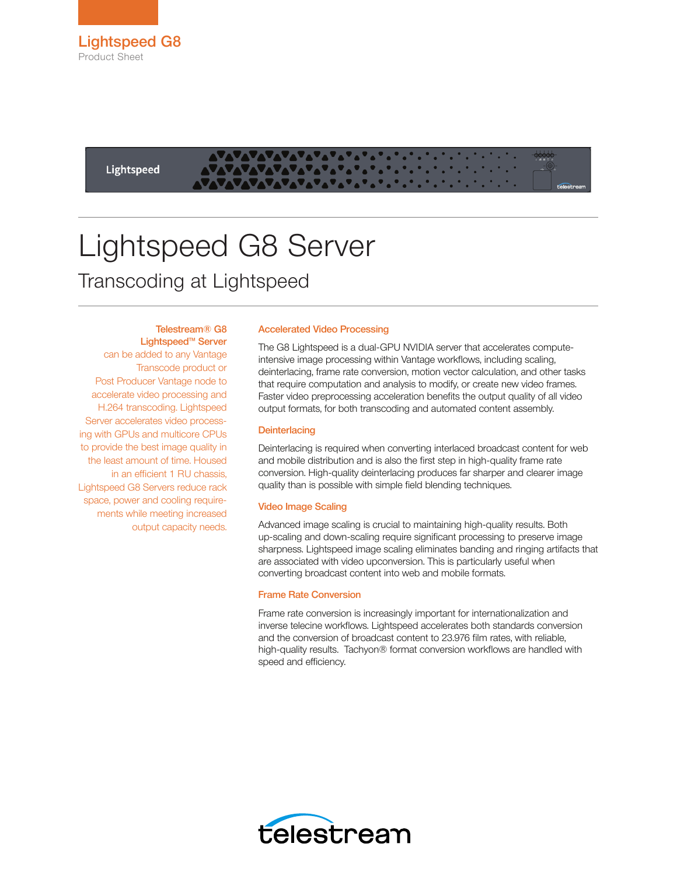Lightspeed

# Lightspeed G8 Server Transcoding at Lightspeed

# Telestream® G8

Lightspeed™ Server can be added to any Vantage Transcode product or Post Producer Vantage node to accelerate video processing and H.264 transcoding. Lightspeed Server accelerates video processing with GPUs and multicore CPUs to provide the best image quality in the least amount of time. Housed in an efficient 1 RU chassis, Lightspeed G8 Servers reduce rack space, power and cooling requirements while meeting increased output capacity needs.

### Accelerated Video Processing

The G8 Lightspeed is a dual-GPU NVIDIA server that accelerates computeintensive image processing within Vantage workflows, including scaling, deinterlacing, frame rate conversion, motion vector calculation, and other tasks that require computation and analysis to modify, or create new video frames. Faster video preprocessing acceleration benefits the output quality of all video output formats, for both transcoding and automated content assembly.

#### **Deinterlacing**

Deinterlacing is required when converting interlaced broadcast content for web and mobile distribution and is also the first step in high-quality frame rate conversion. High-quality deinterlacing produces far sharper and clearer image quality than is possible with simple field blending techniques.

#### Video Image Scaling

Advanced image scaling is crucial to maintaining high-quality results. Both up-scaling and down-scaling require significant processing to preserve image sharpness. Lightspeed image scaling eliminates banding and ringing artifacts that are associated with video upconversion. This is particularly useful when converting broadcast content into web and mobile formats.

#### Frame Rate Conversion

Frame rate conversion is increasingly important for internationalization and inverse telecine workflows. Lightspeed accelerates both standards conversion and the conversion of broadcast content to 23.976 film rates, with reliable, high-quality results. Tachyon® format conversion workflows are handled with speed and efficiency.